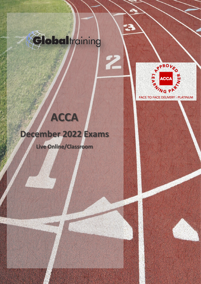

2



FACE TO FACE DELIVERY - PLATINUM

## **December 2022 Exams**

**ACCA**

**Live Online/Classroom**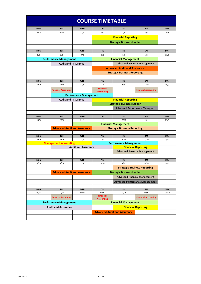| <b>COURSE TIMETABLE</b>       |                                     |                            |                                                                             |                                        |                                      |            |  |  |  |  |
|-------------------------------|-------------------------------------|----------------------------|-----------------------------------------------------------------------------|----------------------------------------|--------------------------------------|------------|--|--|--|--|
| <b>MON</b>                    | <b>TUE</b>                          | <b>WED</b>                 | <b>THU</b>                                                                  | <b>FRI</b>                             | <b>SAT</b>                           | <b>SUN</b> |  |  |  |  |
| 29/8                          | 30/8                                | 31/8                       | 1/9                                                                         | 2/9                                    | 3/9                                  | 4/9        |  |  |  |  |
|                               |                                     |                            |                                                                             | <b>Financial Reporting</b>             |                                      |            |  |  |  |  |
|                               |                                     |                            | <b>Strategic Business Leader</b>                                            |                                        |                                      |            |  |  |  |  |
|                               |                                     |                            |                                                                             |                                        |                                      |            |  |  |  |  |
| <b>MON</b>                    | <b>TUE</b>                          | <b>WED</b>                 | <b>THU</b>                                                                  | FRI                                    | <b>SAT</b>                           | <b>SUN</b> |  |  |  |  |
| 5/9                           | 6/9                                 | 7/9                        | 8/9                                                                         | 9/9                                    | 10/9                                 | 11/9       |  |  |  |  |
|                               | <b>Performance Management</b>       |                            |                                                                             | <b>Financial Management</b>            |                                      |            |  |  |  |  |
| <b>Audit and Assurance</b>    |                                     |                            |                                                                             |                                        |                                      |            |  |  |  |  |
|                               |                                     |                            | <b>Advacned Financial Management</b><br><b>Advanced Audit and Assurance</b> |                                        |                                      |            |  |  |  |  |
|                               |                                     |                            |                                                                             | <b>Strategic Business Reporting</b>    |                                      |            |  |  |  |  |
|                               |                                     |                            |                                                                             |                                        |                                      |            |  |  |  |  |
| <b>MON</b>                    | <b>TUE</b>                          | <b>WED</b>                 | <b>THU</b>                                                                  | <b>FRI</b>                             | <b>SAT</b>                           | <b>SUN</b> |  |  |  |  |
| 12/9                          | 13/9                                | 14/9                       | 15/9                                                                        | 16/9                                   | 17/9                                 | 18/9       |  |  |  |  |
|                               |                                     |                            | <b>Financial</b>                                                            |                                        |                                      |            |  |  |  |  |
|                               | <b>Financial Accounting</b>         |                            | <b>Accounting</b>                                                           |                                        | <b>Financial Accounting</b>          |            |  |  |  |  |
|                               | <b>Performance Management</b>       |                            |                                                                             |                                        |                                      |            |  |  |  |  |
|                               | <b>Audit and Assurance</b>          |                            |                                                                             | <b>Financial Reporting</b>             |                                      |            |  |  |  |  |
|                               |                                     |                            |                                                                             |                                        | <b>Strategic Business Leader</b>     |            |  |  |  |  |
|                               |                                     |                            |                                                                             | <b>Advanced Performance Managem.</b>   |                                      |            |  |  |  |  |
|                               |                                     |                            |                                                                             |                                        |                                      |            |  |  |  |  |
| <b>MON</b>                    | <b>TUE</b>                          | <b>WED</b>                 | <b>THU</b>                                                                  | <b>FRI</b>                             | <b>SAT</b>                           | <b>SUN</b> |  |  |  |  |
| 19/9                          | 20/9                                | 21/9                       | 22/9                                                                        | 23/9                                   | 24/9                                 | 25/9       |  |  |  |  |
|                               |                                     |                            | <b>Financial Management</b>                                                 |                                        |                                      |            |  |  |  |  |
|                               | <b>Advanced Audit and Assurance</b> |                            | <b>Strategic Business Reporting</b>                                         |                                        |                                      |            |  |  |  |  |
| <b>MON</b>                    | <b>TUE</b>                          | <b>WED</b>                 | <b>THU</b>                                                                  | <b>FRI</b>                             | <b>SAT</b>                           | <b>SUN</b> |  |  |  |  |
| 26/9                          | 27/9                                | 28/9                       | 29/9                                                                        | 30/9                                   | 1/10                                 | 2/10       |  |  |  |  |
| <b>Management Accounting</b>  |                                     |                            | <b>Performance Management</b>                                               |                                        |                                      |            |  |  |  |  |
|                               |                                     | <b>Audit and Assurance</b> |                                                                             | <b>Financial Reporting</b>             |                                      |            |  |  |  |  |
|                               |                                     |                            |                                                                             |                                        | <b>Advacned Financial Management</b> |            |  |  |  |  |
|                               |                                     |                            |                                                                             |                                        |                                      |            |  |  |  |  |
| <b>MON</b>                    | <b>TUE</b>                          | <b>WED</b>                 | <b>THU</b>                                                                  | <b>FRI</b>                             | <b>SAT</b>                           | <b>SUN</b> |  |  |  |  |
| 3/10                          | 4/10                                | 5/10                       | 6/10                                                                        | 7/10                                   | 8/10                                 | 9/10       |  |  |  |  |
|                               |                                     |                            |                                                                             | <b>Strategic Business Reporting</b>    |                                      |            |  |  |  |  |
|                               | <b>Advanced Audit and Assurance</b> |                            | <b>Strategic Business Leader</b>                                            |                                        |                                      |            |  |  |  |  |
|                               |                                     |                            |                                                                             | <b>Advacned Financial Management</b>   |                                      |            |  |  |  |  |
|                               |                                     |                            |                                                                             | <b>Advanced Performance Management</b> |                                      |            |  |  |  |  |
|                               |                                     |                            |                                                                             |                                        |                                      |            |  |  |  |  |
| <b>MON</b>                    | <b>TUE</b>                          | <b>WED</b>                 | <b>THU</b>                                                                  | <b>FRI</b>                             | SAT                                  | <b>SUN</b> |  |  |  |  |
| 10/10                         | 11/10                               | 12/10                      | 13/10<br><b>Financial</b>                                                   | 14/10                                  | 15/10                                | 16/10      |  |  |  |  |
|                               | <b>Financial Accounting</b>         |                            | <b>Accounting</b>                                                           |                                        | <b>Financial Accounting</b>          |            |  |  |  |  |
| <b>Performance Management</b> |                                     |                            | <b>Financial Management</b>                                                 |                                        |                                      |            |  |  |  |  |
| <b>Audit and Assurance</b>    |                                     |                            |                                                                             |                                        | <b>Financial Reporting</b>           |            |  |  |  |  |
|                               |                                     |                            |                                                                             | <b>Advanced Audit and Assurance</b>    |                                      |            |  |  |  |  |
|                               |                                     |                            |                                                                             |                                        |                                      |            |  |  |  |  |
|                               |                                     |                            |                                                                             |                                        |                                      |            |  |  |  |  |